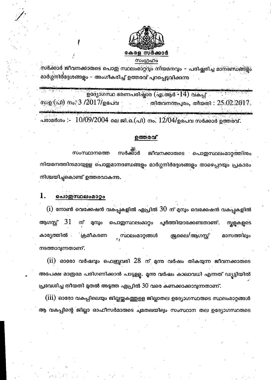

സർക്കാർ ജീവനക്കാരുടെ പൊതു സ്ഥലംമാറ്റ്വും നിയമനവും – പരിഷ്ക്യരിച്ച മാനദണ്ഡങ്ങളും മാർഗ്ഗ്നിർദ്ദേശങ്ങളും – അംഗീകരിച്ച് ഉത്തരവ് പുറപ്പെട്ടവിക്കുന്ന

ഉദ്യോഗസ്ഥ ഭരണപരിഷ്ടാര (എ.ആർ -14) വകപ്പ് സാള(പി) നം: 3 /2017/ഉദപവ തിരുവനന്തപുരം, തീയതി $: 25.02.2017.$ പരാമർശം :-  $\,10/09/2004\,$ ലെ ജി.ഒ.(പി) നം.  $12/04/\rm_{2}$ ഭപവ സർക്കാർ ഉത്തരവ്.

## ഉത്തരവ്

സർക്റാർ സംസ്ഥാനത്തെ ജീവനക്കാരുടെ പൊതുസ്ഥലംമാറ്റത്തിനും നിയമനത്തിനമായുളള പൊതുമാനദണ്ഡങ്ങളും മാർഗ്ഗനിർദ്ദേശങ്ങളും താഴെപ്പറയും പ്രകാരം നിശ്ചയിച്ചുകൊണ്ട് ഉത്തരവാകന്നു.

#### 1. പൊഇസ്ഥലംമാറ്റം

 $\displaystyle \mathrm{(i)}$  നോൺ വെക്കേഷൻ വകപ്പുകളിൽ ഏപ്രിൽ  $\displaystyle 30$  ന് മുമ്പും വെക്കേഷൻ വകപ്പുകളിൽ -31 മുമ്പും ആഗസ്റ്റ് ന് പൊതുസ്ഥലംമാറ്റം പൂർത്തിയാക്കേണ്ടതാണ്. സ്കള്ളൈടെ സ്ഥലംമാറ്റങ്ങൾ കാര്യത്തിൽ **്ക്രമീകരണ** ജ്രലൈ/ആഗസ്റ്റ് മാസത്തിലും നടത്താവുന്നതാണ്.

 $(i$ i) ഓരോ വർഷവും ഫെബ്രുവരി  $28$  ന് മുന്ന വർഷം തികയുന്ന ജീവനക്കാരുടെ അപേക്ഷ മാത്രമേ പരിഗണിക്കാൻ പാടുളളൂ. മൃന്ന വർഷം കാലാവധി എന്നത് ഡ്യട്ടിയിൽ പ്രവേശിച്ച തീയതി മുതൽ അടുത്ത ഏപ്രിൽ 30 വരെ കണക്കാക്കാവുന്നതാണ്.

(iii) ഓരോ വകപ്പിലെയും ജില്ലയ്ക്കക്തുളള ജില്ലാതല ഉദ്യോഗസ്ഥരുടെ സ്ഥലംമാറ്റങ്ങൾ ആ വകപ്പിന്റെ ജില്ലാ ഓഫീസർമാരുടെ ചുമതലയിലും സംസ്ഥാന തല ഉദ്യോഗസ്ഥരുടെ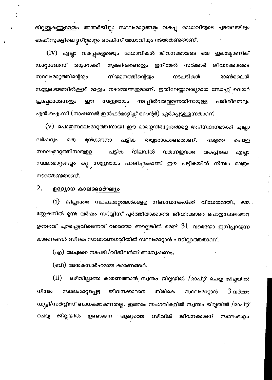ജില്ലയ്ക്കുകത്തുള്ളതും അന്തർജില്ലാ സ്ഥലംമാറ്റങ്ങളും വകപ്പ മേധാവിയുടെ ചുമതലയിലും ഓഫീസുകളിലെ സീറ്റമാറ്റം ഓഫീസ് മേധാവിയും നടത്തേണ്ടതാണ്.

 $\overline{(\mathrm{i}\mathrm{v})}$  എല്ലാ വകപ്പുകളൂടെയും മേധാവികൾ ജീവനക്കാരുടെ ഒരു ഇലക്ട്രോണിക് ഡാറ്റാബേസ് തയ്യാറാക്കി സൂക്ഷിക്കേണ്ടഇം ഇനിമേൽ സർക്കാർ ജീവനക്കാരുടെ സ്ഥലംമാറ്റത്തിന്റെയ്യം നിയമനത്തിന്റെയ്യം നടപടികൾ ഓൺലൈൻ സമ്പ്രദായത്തിൽക്കൂടി മാത്രം നടത്തേണ്ടതുമാണ്. ഇതിലേയ്ക്കാവശ്യമായ സോഫ്റ്റ് വെയർ പ്രാപ്തമാക്കുന്നതും നടപ്പിൽവരുത്തുന്നതിനായുളള പരിശീലനവും ഈ സമ്പ്രദായം എൻ.ഐ.സി (നാഷണൽ ഇൻഫർമാറ്റിക്സ് സെന്റർ) ഏർപ്പെടുത്തുന്നതാണ്.

(V) പൊതുസ്ഥലംമാറ്റത്തിനായി ഈ മാർഗ്ഗനിർദ്ദേശങ്ങളെ അടിസ്ഥാനമാക്കി എല്ലാ മുൻഗണനാ വർഷവും ഒരു പട്ടിക തയ്യാറാക്കേണ്ടതാണ്. അട്ടത്ത പൊതു സ്ഥലംമാറ്റത്തിനായുള്ള പട്ടിക നിലവിൽ വരുന്നതവരെ വകപ്പിലെ എല്ലാ സ്ഥലംമാറ്റങ്ങളും ക്യൂ സമ്പ്രദായം പാലിച്ചുകൊണ്ട് ഈ പട്ടികയിൽ നിന്നും മാത്രം നടത്തേണ്ടതാണ്.

#### 2. ഉദ്യോഗ കാലദൈർഘ്യം

 $(i)$ ജില്ലാന്തര സ്ഥലംമാറ്റങ്ങൾക്കളള നിബന്ധനകൾക്ക് വിധേയമായി, ഒരു സ്റ്റേഷനിൽ മൃന്ന വർഷം സർവ്വീസ് പൂർത്തിയാക്കാത്ത ജീവനക്കാരെ പൊതുസ്ഥലംമാറ്റ ഉത്തരവ് പുറപ്പെടുവിക്കന്നത് വരെയോ അല്ലെങ്കിൽ മെയ്  $31\,$  വരെയോ ഇനിപ്പറയുന്ന കാരണങ്ങൾ ഒഴികെ സാധാരണഗതിയിൽ സ്ഥലംമാറ്റാൻ പാടില്ലാത്തതാണ്.

(എ) അച്ചടക്ക നടപടി /വിജിലൻസ് അന്വേഷണം.

(ബി) അനകമ്പാർഹമായ കാരണങ്ങൾ.

 $(ii)$ ഒഴിവില്ലാത്ത കാരണത്താൽ സ്വന്തം ജില്ലയിൽ /ഓപ്റ്റ് ചെയ്ത ജില്ലയിൽ സ്ഥലംമാറ്റപ്പെട്ട ജീവനക്കാരനെ നിന്നം തിരികെ സ്ഥലംമാറ്റാൻ  $3\,$ വർഷം ഡ്യട്ടി/സർവ്വീസ് ബാധകമാകന്നതല്ല. ഇത്തരം സംഗതികളിൽ സ്വന്തം ജില്ലയിൽ /ഓപ്റ്റ് ചെയ്ത ജില്ലയിൽ ഉണ്ടാകന്ന ആദ്യത്തെ ഒഴിവിൽ ജീവനക്കാരന് സ്ഥലംമാറ്റം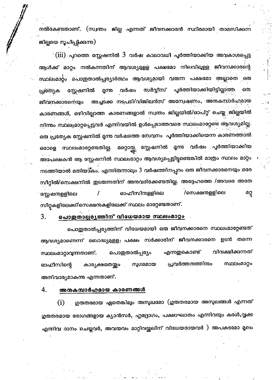നൽകേണ്ടതാണ്. (സ്വന്തം ജില്ല എന്നത് ജീവനക്കാരൻ സ്ഥിരമായി താമസിക്കന്ന ജില്ലയെ സൂചിപ്പിക്കന്ന)

 $\cdot$   $\rm (iii)$  പുറത്തെ സ്റ്റേഷനിൽ  $3$  വർഷ കാലാവധി പൂർത്തിയാക്കിയ അവകാശപ്പെട്ട ആൾക്ക് മാറ്റം നൽകന്നതിന് ആവശ്യമുള്ള പക്ഷമോ നിലവിലുളള ജീവനക്കാരന്റെ സ്ഥലംമാറ്റം പൊഇതാൽപ്പര്യാർത്ഥം ആവശ്യമായി വരുന്ന പക്ഷമോ അല്ലാതെ ഒരു പൂർത്തിയാക്കിയിട്ടില്ലാത്ത വർഷം സർവ്വീസ് ഒര സ്റ്റേഷനിൽ മന്നു പ്രത്യേക അച്ചടക്ക നടപടി/വിജിലൻസ് അന്വേഷണം, അനകമ്പാർഹമായ ജീവനക്കാരനെയ്യം കാരണങ്ങൾ, ഒഴിവില്ലാത്ത കാരണങ്ങളാൽ സ്വന്തം ജില്ലയിൽ/ഓപ്റ്റ് ചെയ്ത ജില്ലയിൽ നിന്നും സ്ഥലംമാറ്റപ്പെട്ടവർ എന്നിവയിൽ ഉൾപ്പെടാത്തവരെ സ്ഥലംമാറ്റേണ്ട ആവശ്യമില്ല. ഒരു പ്രത്യേക സ്റ്റേഷനിൽ മൃന്ന വർഷത്തെ സേവനം പൂർത്തിയാക്കിയെന്ന കാരണത്താൽ മറ്റൊത്തു. സ്റ്റേഷനിൽ മൃന്ന വർഷം പൂർത്തിയാക്കിയ സ്ഥലംമാറ്റേണ്ടതില്ല. ഒരാളെ അപേക്ഷകൻ ആ സ്റ്റേഷനിൽ സ്ഥലംമാറ്റം ആവശ്യപ്പെട്ടിട്ടുണ്ടെങ്കിൽ മാത്രം സ്ഥലം മാറ്റം നടത്തിയാൽ മതിയാകം. എന്നിരുന്നാലും 3 വർഷത്തിനപ്പറം ഒരു ജീവനക്കാരനെയും ഒരേ സീറ്റിൽ/സെക്ഷനിൽ ഇടരുന്നതിന് അനുവദിക്കേണ്ടതില്ല. അദ്ദേഹത്തെ /അവരെ അതേ /സെക്ഷന്തള്ളിലെ മറ്റ സ്റ്റേഷനുള്ളിലെ ഓഫീസിന്റള്ളിലെ സീറ്റകളിലേക്ക്/സെക്ഷനുകളിലേക്ക് സ്ഥലം മാറ്റേണ്ടതാണ്.

#### പൊതുതാല്പര്യത്തിന് വിധേയമായ സ്ഥലംമാറ്റം 3.

പൊതുതാൽപ്പര്യത്തിന് വിധേയമായി ഒരു ജീവനക്കാരനെ സ്ഥലംമാറ്റേണ്ടത് ആവശ്യമാണെന്ന് ബോദ്ധ്യമുളള<sub>്</sub> പക്ഷം സർക്കാരിന് ജീവനക്കാരനെ ഉടൻ തന്നെ വിവക്ഷിക്കുന്നത്. എന്നതുകൊണ്ട് സ്ഥലംമാറ്റാവുന്നതാണ്. പൊതുതാൽപ്പര്യം പ്രവർത്തനത്തിനും സുഗമമായ സ്ഥലംമാറ്റം കാര്യക്ഷമതയ്യം ഓഫീസിന്റെ അനിവാര്യമാകന്നു എന്നതാണ്.

4.

### അനകമ്പാർഹമായ കാരണങ്ങൾ

് ഗുരുതരമായ ഏതെങ്കിലും അസുഖമോ (ഗുരുതരമായ അസുഖങ്ങൾ എന്നത്  $(i)$ ഗുരുതരമായ രോഗങ്ങളായ ക്യാൻസർ, ഹൃദ്രോഗം, പക്ഷാഘാതം എന്നിവയും കരൾ,വൃക്ക എന്നിവ ദാനം ചെയ്തവർ, അവയവം മാറ്റിവയ്ക്കലിന് വിധേയരായവർ ) അപകടമോ മൂലം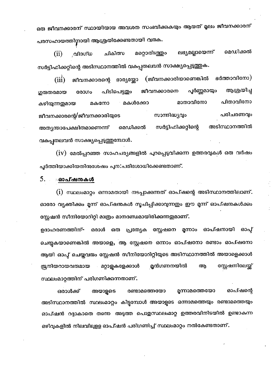ഒരു ജീവനക്കാരന് സ്ഥായിയായ അവശത സംഭവിക്കുകയും ആയത് മൂലം ജീവനക്കാരന് പരസഹായത്തിനായി ആശ്രയിക്കേണ്ടതായി വരുക.

മെഡിക്കൽ ലഭ്യമല്ലായെന്ന് **വി**ദഗ്**ധ** മറ്റൊരിടത്തും  $(ii)$ ചികിത്സ സർട്ടിഫിക്കറ്റിന്റെ അടിസ്ഥാനത്തിൽ വകപ്പതലവൻ സാക്ഷ്യപ്പെടുത്തുക.

ഭർത്താവിനോ) ( ജീവനക്കാരിയാണെങ്കിൽ  $(iii)$ ഭാര്യയോ ജീവനക്കാരന്റെ ആശ്രയിച്ച പൂർണ്ണമായും ജീവനക്കാരനെ ഗുരുതരമായ രോഗം പിടിപെട്ടതും പിതാവിനോ മാതാവിനോ മകൾക്കോ മകനോ കഴിയുന്നതുമായ പരിചരണവും സാന്നിദ്ധ്യവം ജീവനക്കാരന്റെ/ജീവനക്കാരിയുടെ അടിസ്ഥാനത്തിൽ സർട്ടിഫിക്കറ്റിന്റെ മെഡിക്കൽ അത്യന്താപേക്ഷിതമാണെന്ന് വകപ്പതലവൻ സാക്ഷ്യപ്പെടുത്തുമ്പോൾ.

 $(iv)$  മേൽപ്പറഞ്ഞ സാഹചര്യങ്ങളിൽ പുറപ്പെടുവിക്കുന്ന ഉത്തരവുകൾ ഒരു വർഷം പൂർത്തിയാക്കിയതിനുശേഷം പുന:പരിശോധിക്കേണ്ടതാണ്.

#### $5.$ ംഓപ്ഷനകൾ

(i) സ്ഥലംമാറ്റം ഒന്നാമതായി നടപ്പാക്കുന്നത് ഓപ്ഷന്റെ അടിസ്ഥാനത്തിലാണ്. ഓരോ വ്യക്തിക്കം മുന്ന് ഓപ്ഷന്മകൾ സൂചിപ്പിക്കാവുന്നതും ഈ മൃന്ന് ഓപ്ഷന്മകൾക്കം സ്റ്റേഷൻ സീനിയോറിറ്റി മാത്രം മാനദണ്ഡമായിരിക്കുന്നതുമാണ്.

ഒരു പ്രത്യേക സ്റ്റേഷനെ മൂന്നാം ഓപ്ഷനായി ഓപ് ഉദാഹരണത്തിന്∸ ഒരാൾ ചെയ്യകയാണെങ്കിൽ അയാളെ, ആ സ്റ്റേഷനെ ഒന്നാം ഓപ്ഷനോ രണ്ടാം ഓപ്ഷനോ ആയി ഓപ്പ് ചെയ്തവരും സ്റ്റേഷൻ സീനിയോറിറ്റിയുടെ അടിസ്ഥാനത്തിൽ അയാളെക്കാൾ സ്റ്റേഷനിലേയ്ക് മുൻഗണനയിൽ ജ്രനിയറായവരുമായ മറ്റാളകളേക്കാൾ ആ സ്ഥലംമാറ്റത്തിന് പരിഗണിക്കുന്നതാണ്.

മന്നാമത്തെയോ ഓപ്ഷന്റെ ഒരാൾക്ക് അയാളടെ രണ്ടാമത്തെയോ അടിസ്ഥാനത്തിൽ സ്ഥലംമാറ്റം കിട്ടമ്പോൾ അയാളടെ ഒന്നാമത്തെയും രണ്ടാമത്തെയും ഓപ്ഷൻ റദ്ദാകാതെ തന്നെ അടുത്ത പൊതുസ്ഥലംമാറ്റ ഉത്തരവിനിടയിൽ ഉണ്ടാകുന്ന ഒഴിവുകളിൽ നിലവിലുളള ഓപ്ഷൻ പരിഗണിച്ച് സ്ഥലംമാറ്റം നൽകേണ്ടതാണ്.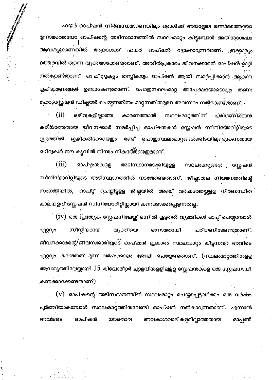ഹയർ ഓപ്ഷൻ നിർബന്ധമാണെങ്കിലും ഒരാൾക്ക് അയാളടെ രണ്ടാമത്തെയോ മൃന്നാമത്തെയോ ഓപ്ഷന്റെ അടിസ്ഥാനത്തിൽ സ്ഥലംമാറ്റം കിട്ടുമ്പോൾ അതിനുശേഷം ആവശ്യമാണെങ്കിൽ അയാൾക്ക് ഹയർ ഓപ്ഷൻ റദ്ദാക്കാവുന്നതാണ്. ഇക്കാര്യം ഉത്തരവിൽ തന്നെ വ്യക്തമാക്കേണ്ടതാണ്. അതിൻപ്രകാരം ജീവനക്കാരൻ ഓപ്ഷൻ മാറ്റി നൽകേണ്ടതാണ്. ഓഫീസുകളം തന്റ്റികയും ഓപ്ഷൻ ആയി സമർപ്പിക്കാൻ ആക്ന്ന ക്രമീകരണങ്ങൾ ഉണ്ടാകേണ്ടതാണ്. പൊഇസ്ഥലംമാറ്റ അപേക്ഷയോടൊപ്പം തന്നെ ഫോംസ്റ്റേഷൻ ഡിക്ലയർ ചെയ്യുന്നതിനം മാറ്റന്നതിന്മമുളള അവസരം നൽകേണ്ടതാണ്.  $(ii)$ ഒഴിവുകളില്ലാത്ത കാരണത്താൽ സ്ഥലംമാറ്റത്തിന് പരിഗണിക്കാൻ കഴിയാത്തതായ ജീവനക്കാർ സമർപ്പിച്ച ഓപ്ഷനകൾ സ്റ്റേഷൻ സീനിയോറിറ്റിയുടെ ക്രമത്തിൽ ക്രമീകരിക്കേണ്ടഇം രണ്ട് **പൊതുസ്ഥലംമാറ്റങ്ങൾക്കിടയിലുണ്ടാകുന്ന**തായ ഒഴിവുകൾ ഈ കൃവിൽ നിന്നും നികശ്തേണ്ടതുമാണ്.

 $(iii)$ ഓപ്ഷന്കളെ അടിസ്ഥാനമാക്കിയുളള സ്ഥലംമാറ്റങ്ങൾ സ്റ്റേഷൻ സീനിയോറിറ്റിയുടെ അടിസ്ഥാനത്തിൽ നടത്തേണ്ടതാണ്. ജില്ലാതല നിയമനത്തിന്റെ ഓപ്റ്റ് ചെയ്തിട്ടളള ജില്ലയിൽ അഞ്ച് വർഷത്തേയ്കളള നിർബന്ധിത സംഗതിയിൽ, കാലയളവ് സ്റ്റേഷൻ സീനിയോറിറ്റിയ്ലായി കണക്കാക്കപ്പെടുന്നതല്ല.

(iV) ഒരു പ്രത്യേക സ്റ്റേഷനിലേയ്ക്ക് ഒന്നിൽ കൂടുതൽ വ്യക്തികൾ ഓപ്പ് ചെയ്യമ്പോൾ സീനിയറായ വൃക്തിയെ ഏറ്റവും ഒന്നാമതായി പരിഗണിക്കേണ്ടതാണ്. ജീവനക്കാരന്റെ/ജീവനക്കാരിയുടെ ഓപ്ഷൻ പ്രകാരം സ്ഥലംമാറ്റം കിട്ടന്നവർ അവിടെ ഏറ്റവും കറഞ്ഞത് മൂന്ന് വർഷക്കാലം ജോലി ചെയ്യേണ്ടതാണ്. (സ്ഥലംമാറ്റത്തിനുളള ആവശ്യത്തിലേയ്ക്കായി  $15$  കിലോമീറ്റർ ചുറ്റളവിനുളളിലുളള സ്റ്റേഷനകളെ ഒത സ്റ്റേഷനായി കണക്കാക്കേണ്ടതാണ്).

 $({\rm v})$  ഓപ്ഷന്റെ അടിസ്ഥാനത്തിൽ സ്ഥലംമാറ്റം ചെയ്യപ്പെട്ടവർക്കം ഒരു വർഷം പൂർത്തിയാകമ്പോൾ സ്ഥലംമാറ്റത്തിനവേണ്ടി ഓപ്ഷൻ നൽകാവുന്നതാണ്. എന്നാൽ അവരുടെ ഓപ്ഷൻ യാതൊരു അവകാശവാദികളമില്ലാത്തതായ ഓപ്പൺ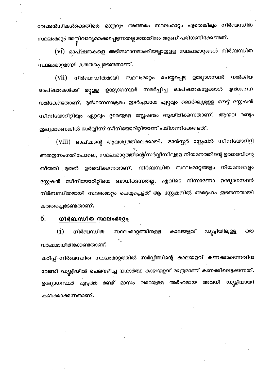വേക്കൻസികൾക്കെതിരെ മാത്രവ്യം അത്തരം സ്ഥലംമാറ്റം ഏതെങ്കിലും നിർബന്ധിത സ്ഥലംമാറ്റം അന്റിവാര്യമാക്കപ്പെടുന്നതല്ലാത്തതിനം ആണ് പരിഗണിക്കേണ്ടത്.

(vi) ഓപ്ഷന്മകളെ അടിസ്ഥാനമാക്കിയല്ലാതുളള സ്ഥലംമാറ്റങ്ങൾ നിർബന്ധിത സ്ഥലംമാറ്റമായി കരുതപ്പെടേണ്ടതാണ്.

ഉദ്യോഗസ്ഥർ നൽകിയ  $(vii)$ നിർബന്ധിതമായി സ്ഥലംമാറ്റം ചെയ്യപ്പെട്ട സമർപ്പിച്ച ഓപ്ഷനകളേക്കാൾ മുൻഗണന ഉദ്യോഗസ്ഥർ ഓപ്ഷനകൾക്ക് മറ്റള്ള നൽകേണ്ടതാണ്. മുൻഗണനാക്രമം ഇടർച്ചയായ ഏറ്റവും ദൈർഘ്യമുളള ഔട്ട് സ്റ്റേഷൻ സീനിയോറിറ്റിയും ഏറ്റവും ദൂരെയുളള സ്റ്റേഷനം ആയിരിക്കുന്നതാണ്. ആയവ രണ്ടും തുല്യമാണെങ്കിൽ സർവ്വീസ് സീനിയോറിറ്റിയാണ് പരിഗണിക്കേണ്ടത്.

(viii) ഓപ്ഷന്റെ ആവശ്യത്തിലേക്കായി, ടാൻസ്റ്റർ സ്റ്റേഷൻ സീനിയോറിറ്റി അതഇസംഗതിപോലെ, സ്ഥലംമാറ്റത്തിന്റെ/സർവ്വീസിലുളള നിയമനത്തിന്റെ ഉത്തരവിന്റെ തീയതി മതൽ ഉത്ഭവിക്കന്നതാണ്. നിർബന്ധിത സ്ഥലംമാറ്റങ്ങളം നിയമനങ്ങളം സ്റ്റേഷൻ സീനിയോറിറ്റിയെ ബാധിക്കന്നതല്ല. എവിടെ നിന്നാണോ ഉദ്യോഗസ്ഥൻ നിർബന്ധിതമായി സ്ഥലംമാറ്റം ചെയ്യപ്പെട്ടത് ആ സ്റ്റേഷനിൽ അദ്ദേഹം ഇടരുന്നതായി കരുതപ്പെടേണ്ടതാണ്.

#### 6. നിർബന്ധിത സ്ഥലംമാറ്റം

കാലയളവ് ഡ്യട്ടിയിലുളള  $\bf(i)$ നിർബന്ധിത സ്ഥലംമാറ്റത്തിനുളള ഒര വർഷമായിരിക്കേണ്ടതാണ്.

കറിപ്പ്-നിർബന്ധിത സ്ഥലംമാറ്റത്തിൽ സർവ്വീസിന്റെ കാലയളവ് കണക്കാക്കുന്നതിന വേണ്ടി ഡ്യൂട്ടിയിൽ ചെലവഴിച്ച യഥാർത്ഥ കാലയളവ് മാത്രമാണ് കണക്കിലെടുക്കുന്നത്. ഉദ്യോഗസ്ഥർ എടുത്ത രണ്ട് മാസം വരെയുളള അർഹമായ ഡ്യട്ടിയായി അവധി കണക്കാക്കുന്നതാണ്.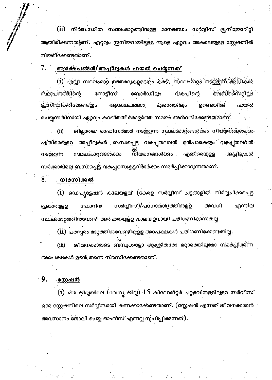(ii) നിർബന്ധിത സ്ഥലംമാറ്റത്തിനുളള മാനദണ്ഡം സർവ്വീസ് ജ്രനിയോറിറ്റി ആയിരിക്കന്നത9്ണ്. ഏറ്റവും ജ്രനിയറായിട്ടുളള ആളെ ഏറ്റവും അകലെയുളള സ്റ്റേഷനിൽ നിയമിക്കേണ്ടതാണ്.

#### 7. ആക്ഷേപങ്ങൾ/അപ്പീലുകൾ ഫയൽ ചെയ്യന്നത്

 $(i)$  എല്ലാ സ്ഥലംമാറ്റ ഉത്തരവുകളുടെയും കരട്, സ്ഥലംമാറ്റം നടത്തുന്ന് അധികാര സ്ഥാപനത്തിന്റെ നോടിസ് ബോർഡില്പം വകപ്പിന്റെ വൈബ്സൈറ്റിലും ആക്ഷേപങ്ങൾ എന്തെങ്കിലും . ഉണ്ടെങ്കിൽ പ്രസിദ്ധീകരിക്കേണ്ട്ഇം ഫയൽ ചെയ്യുന്നതിനായി ഏറ്റവും കറഞ്ഞത് ഒരാഴ്ചത്തെ സമയം അനവദിക്കേണ്ടഇമാണ് . ജില്ലാതല ഓഫിസർമാർ നടത്തുന്ന സ്ഥലംമാറ്റങ്ങൾക്കം നിയമനങ്ങൾക്കം  $(ii)$ അപ്പീലുകൾ ബന്ധപ്പെട്ട വകപ്പതലവൻ മുൻപാകെയും വകപ്പതലവൻ എതിരെയുളള ന്നിയമനങ്ങൾക്ക<u>ം</u> എതിരെയുള്ള സ്ഥലംമാറ്റങ്ങൾക്കം അപ്പീലുകൾ നടത്തന്ന സർക്കാരിലെ ബന്ധപ്പെട്ട വകപ്പസെക്രട്ടറിമാർക്കം സമർപ്പിക്കാവുന്നതാണ്.

#### 8. . നിരസിക്കൽ

 $\displaystyle \mathrm{(i)}$  ഡെപ്യ്ട്ടേഷൻ കാലയളവ് (കേരള സർവ്വീസ് ചട്ടങ്ങളിൽ നിർവ്വചിക്കപ്പെട്ട സർവ്വീസ്)/പഠനാവശൃത്തിനള്ള എന്നിവ പ്രകാരമുള്ള ഫോറിൻ അവധി സ്ഥലംമാറ്റത്തിനവേണ്ടി അർഹതയുളള കാലയളവായി പരിഗണിക്കന്നതല്ല.

 $(\mathrm{ii})$  പരസ്പരം മാറ്റത്തിനുവേണ്ടിയുളള അപേക്ഷകൾ പരിഗണിക്കേണ്ടതില്ല.

ജീവനക്കാരുടെ ബന്ധുക്കളോ ആശ്രിതരോ മറ്റാരെങ്കിലുമോ സമർപ്പിക്കന്ന  $(iii)$ അപേക്ഷകൾ ഉടൻ തന്നെ നിരസിക്കേണ്ടതാണ്.

#### 9. . **്ദസ്റ്റഷ**ൻ

 $(i)$  ഒരു ജില്ലയിലെ (റവന്യ ജില്ല)  $15$  കിലോമീറ്റർ ചുറ്റളവിനുളളിലുളള സർവ്വീസ് ഒരേ സ്റ്റേഷനിലെ സർവ്വീസായി കണക്കാക്കേണ്ടതാണ്. (സ്റ്റേഷൻ എന്നത് ജീവനക്കാരൻ അവസാനം ജോലി ചെയ്ത ഓഫീസ് എന്നല്ല സൂചിപ്പിക്കന്നത്).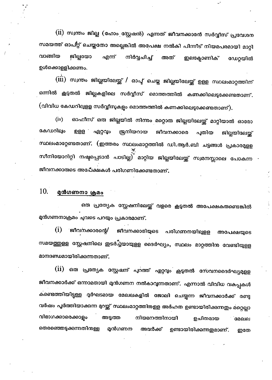(ii) സ്വന്തം ജില്ല (ഹോം സ്റ്റേഷൻ) എന്നത് ജീവനക്കാരൻ സർവ്വീസ് പ്രവേശന സമയത്ത് ഓപ്റ്റ് ചെയ്തതോ അല്ലെങ്കിൽ അപേക്ഷ നൽകി പിന്നീട് നിയമപരമായി മാറ്റി വാങ്ങിയ ജില്ലയോ എന്ന് നിർവ്വചിച്ച് അത് ഇലക്ടോണിക് ഡേറ്റയിൽ ഉൾക്കൊള്ളിക്കണം.

(iii) സ്വന്തം ജില്ലയിലേയ്ക്ക് / ഓപ്പ് ചെയ്ത ജില്ലയിലേയ്ക്ക് ഉളള സ്ഥലംമാറ്റത്തിന് ഒന്നിൽ കൂടുതൽ ജില്ലകളിലെ സർവ്വീസ് മൊത്തത്തിൽ കണക്കിലെടുക്കേണ്ടതാണ്. (വിവിധ കേഡറിലുളള സർവ്വീസുകളും മൊത്തത്തിൽ കണക്കിലെടുക്കേണ്ടതാണ്).

ഓഫീസ് ഒരു ജില്ലയിൽ നിന്നും മറ്റൊരു ജില്ലയിലേയ്ക്ക് മാറ്റിയാൽ ഓരോ  $(iv)$ കേഡറിലും ഉള്ള ഏറ്റവും ജ്രനിയറായ ജീവനക്കാരെ പുതിയ ജില്ലയിലേയ്ക് സ്ഥലംമാറ്റേണ്ടതാണ്. (ഇത്തരം സ്ഥലംമാറ്റത്തിൽ ഡി.ആർ.ബി ചട്ടങ്ങൾ പ്രകാരമുളള സീനിയോറിറ്റി നഷ്ടപ്പെടാൻ പാടില്ല<sup>ു്</sup> മാറ്റിയ ജില്ലയിലേയ്ക്ക് സ്വമനസ്സാലെ പോകന്ന ജീവനക്കാരുടെ അപ്പേക്ഷകൾ പരിഗണിക്കേണ്ടതാണ്.

#### 10. മുൻഗണനാ ക്രമം

ഒരു പ്രത്യേക സ്റ്റേഷനിലേയ്ക്ക് വളരെ കൂടുതൽ അപേക്ഷകരുണ്ടെങ്കിൽ മുൻഗണനാക്രമം ചുവടെ പറയും പ്രകാരമാണ്.

 $(i)$ <sup>ു</sup>ജീവനക്കാരന്റെ/ ജീവനക്കാരിയുടെ പരിഗണനയില്പള്ള അപേക്ഷയുടെ സമയത്തുളള സ്റ്റേഷനിലെ ഇടർച്ചിയായുളള ദൈർഘ്യം, സ്ഥലം മാറ്റത്തിന വേണ്ടിയുളള മാനദണ്ഡമായിരിക്കന്നതാണ്.

(ii) ഒരു പ്രത്യേക സ്റ്റേഷന് പുറത്ത് ഏറ്റവും കൂടുതൽ സേവനദൈർഘ്യമുളള ജീവനക്കാർക്ക് ഒന്നാമതായി മുൻഗണന നൽകാവുന്നതാണ്. എന്നാൽ വിവിധ വകപ്പകൾ കണ്ടെത്തിയിട്ടുള്ള ദുർഘടമായ മേഖലകളിൽ ജോലി ചെയ്യുന്ന ജീവനക്കാർക്ക് രണ്ട<mark>ു</mark> വർഷം പൂർത്തിയാക്കുന്ന മുറയ്ക്ക് സ്ഥലംമാറ്റത്തിരള്ള അർഹത ഉണ്ടായിരിക്കുന്നതും മറ്റെല്ലാ വിഭാഗക്കാരെക്കാളം അടുത്ത നിയമനത്തിനായി ഉചിതമായ മേഖല തെരഞ്ഞെടുക്കുന്നതിനുള്ള മുൻഗണന ഉണ്ടായിരിക്കുന്നതുമാണ്. അവർക്ക് ഇതേ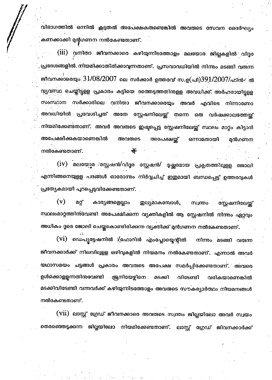വിഭാഗത്തിൽ ഒന്നിൽ കൂടുതൽ അപേക്ഷകരുണ്ടെങ്കിൽ അവരുടെ സേവന ദൈർഘ്യം കണക്കാക്കി മുന്റഗണന നൽകേണ്ടതാണ്.

(iii) വനിതാ ജീവനക്കാരെ കഴിയുന്നിടത്തോളം മലയോര ജില്ലകളിൽ വിദ്ദര പ്രദേശങ്ങളിൽ നിയമിക്കാതിരിക്കാവുന്നതാണ്. പ്രസവാവധിയിൽ നിന്നും മടങ്ങി വരുന്ന ജീവനക്കാരെയും 3 $1/08/2007$  ലെ സർക്കാർ ഉത്തരവ് സ.ഉ(പി) $391/2007/$ ഫിൻ- ൽ വ്യവസ്ഥ ചെയ്തിട്ടളള പ്രകാരം കട്ടിയെ ദത്തെടുത്തതിനളള അവധിക്ക് അർഹരായിട്ടള്ള സംസ്ഥാന സർക്കാരിലെ വനിതാ ജീവനക്കാരെയും അവർ എവിടെ നിന്നാണോ അവധിയിൽ പ്രവേശിച്ചത് അതേ സ്റ്റേഷനിലേയ്ക് തന്നെ ഒരു വർഷക്കാലത്തേയ്ക് നിയമിക്കേണ്ടതാണ്. അവർ അവരുടെ ഇഷ്ടപ്പെട്ട സ്റ്റേഷനിലേയ്ക്ക് സ്ഥലം മാറ്റം കിട്ടാൻ അപേക്ഷിക്കുകയാണെങ്കിൽ അവരുടെ അപേക്ഷയ്ക് ഒന്നാമതായി മൻഗണന നൽകേണ്ടതാണ്.

(iv) മലയോ്ടര ആഷൻ/വിദുര സ്റ്റേഷൻ/ ദുഷ്കരമായ പ്രകൃതത്തിലുളള ജോലി എന്നിങ്ങനെയുളള പദങ്ങൾ ഓരോന്നം നിർവ്വചിച്ച് ഇതുമായി ബന്ധപ്പെട്ട് ഉത്തരവുകൾ പ്രത്യേകമായി പറപ്പെടുവിക്കേണ്ടതാണ്.

 $(v)$ മറ്റ് കാര്യങ്ങളെല്ലാം തുല്യമാകമ്പോൾ, സ്വന്തം സ്റ്റേഷനിലേയ്ല് സ്ഥലംമാറ്റത്തിന്മവണ്ടി അപേക്ഷിക്കന്ന വ്യക്തികളിൽ ആ സ്റ്റേഷനിൽ നിന്നം ഏറ്റവും അധികം ദൂരെ ജോലി ചെയ്തകൊണ്ടിരിക്കന്ന വ്യക്തിക്ക് മുൻഗണന നൽകേണ്ടതാണ്.

(V1) ഡെപ്യട്ടേഷനിൽ ⁄്ലഫോറിൻ എംപ്ലോയ്ലെന്റിൽ നിന്നും മടങ്ങി വരുന്ന ജീവനക്കാർക്ക് നിലവിലുളള ഒഴിവുകളിൽ നിയമനം നൽകേണ്ടതാണ്. എന്നാൽ അവർ യഥാസമയം ചട്ടങ്ങൾ പ്രകാരം അവരുടെ അപേക്ഷ സമർപ്പിക്കേണ്ടതാണ്. അവരെ ഉൾക്കൊളളന്നതിനുവേണ്ടി ്രജനിയേഴ്ചിനെ മടക്കി വിടേണ്ടി വരികയാണെങ്കിൽ മടക്കിവിടേണ്ടി വന്നവർക്ക് കഴിയുന്നിടത്തോളം അവരുടെ സൗകര്യാർത്ഥം നിയമനങ്ങൾ നൽകേണ്ടതാണ്.

(vii) ലാസ്റ്റ് ഗ്രേഡ് ജീവനക്കാരെ അവരുടെ സ്വന്തം ജില്ലയിലോ അവർ സ്വയം തെരഞ്ഞെടുക്കന്ന ജില്ലയിലോ നിയമിക്കേണ്ടതാണ്. ലാസ്റ്റ് ഗ്രേഡ് ജിവനക്കാർക്ക്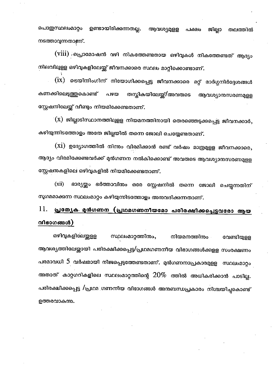ഉണ്ടായിരിക്കുന്നതല്ല. പൊതുസ്ഥലംമാറ്റം ആവശ്യമുള്ള ജില്ലാ തലത്തിൽ പക്ഷം നടത്താവുന്നതാണ്.

(viii) ,പ്രൊമോഷൻ വഴി നികത്തേണ്ടതായ ഒഴിവുകൾ നികത്തേണ്ടത് ആദ്യം നിലവിലുള്ള ഒഴിവുകളിലേയ്ക്ക് ജീവനക്കാരെ സ്ഥലം മാറ്റിക്കൊണ്ടാണ്.

 $\displaystyle \mathrm{(ix)}$  ടെയിനിംഗിന് നിയോഗിക്കപ്പെട്ട ജീവനക്കാരെ മറ്റ് മാർഗ്ഗനിർദ്ദേശങ്ങൾ കണക്കിലെടുത്തകൊണ്ട് തസ്കികയിലേയ്ക്/അവരുടെ പഴയ ആവശ്യാന്തസരണമുളള സ്റ്റേഷനിലേയ്ക് വീണ്ടം നിയമിക്കേണ്ടതാണ്.

(x) ജില്ലാടിസ്ഥാനത്തിലുളള നിയമനത്തിനായി തെരഞ്ഞെടുക്കപ്പെട്ട ജീവനക്കാർ, കഴിയുന്നിടത്തോളം അതേ ജില്ലയിൽ തന്നെ ജോലി ചെയ്യേണ്ടതാണ്.

 $(xi)$  ഉദ്യോഗത്തിൽ നിന്നം വിരമിക്കാൻ രണ്ട് വർഷം മാത്രമുളള ജീവനക്കാരെ, ആദ്യം വിരമിക്കേണ്ടവർക്ക് മുൻഗണന നൽകിക്കൊണ്ട് അവരുടെ ആവശ്യാനുസരണമുളള സ്റ്റേഷനുകളിലെ ഒഴിവുകളിൽ നിയമിക്കേണ്ടതാണ്.

ഭാര്യയ്ക്കും ഭർത്താവിനും ഒരേ സ്റ്റേഷനിൽ തന്നെ ജോലി ചെയ്യുന്നതിന്  $(xii)$ സുഗമമാക്കുന്ന സ്ഥലംമാറ്റം കഴിയുന്നിടത്തോളം അനുവദിക്കുന്നതാണ്.

# <u>പ്രത്യേക മൻഗണന (പ്രഥമഗണനീയമോ പരിരക്ഷിക്കപ്പെട്ടവരോ ആയ</u> 11. വിഭാഗങ്ങൾ)

ഒഴിവുകളിലേയ്ക്കള സ്ഥലംമാറ്റത്തിനും, നിയമനത്തിനം വേണ്ടിയുള്ള ആവശ്യത്തിലേയ്ക്കായി പരിരക്ഷിക്കപ്പെട്ട/പ്രഥമഗണനീയ വിഭാഗങ്ങൾക്കുളള സംരക്ഷണം പരമാവധി 5 വർഷമായി നിജപ്പെടുത്തേണ്ടതാണ്. മുൻഗണനാപ്രകാരമുളള സ്ഥലംമാറ്റം അതാത് കാറ്റഗറികളിലെ സ്ഥലംമാറ്റത്തിന്റെ  $20\%$  ത്തിൽ അധികരിക്കാൻ പാടില്ല. പരിരക്ഷിക്കപ്പെട്ട /പ്രഥമ ഗണനീയ വിഭാഗങ്ങൾ അനബന്ധപ്രകാരം നിശ്ചയിച്ചകൊണ്ട് ഉത്തരവാകുന്നു.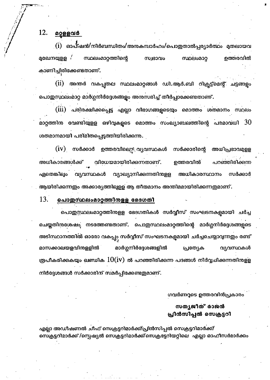#### മറ്റുളളവർ 12.

ഓപ്ഷൻ/നിർബന്ധിതം/അനകമ്പാർഹം/പൊഇതാൽപ്പര്യാർത്ഥം മതലായവ (i) സ്ഥലംമാറ്റത്തിന്റെ ഉത്തരവിൽ മുഖേനയുള്ള സ്വഭാവം **സ്ഥലംമാറ** കാണിച്ചിരിക്കേണ്ടതാണ്.

 $(i)$ അന്തർ വകപ്പതല സ്ഥലംമാറ്റങ്ങൾ ഡി.ആർ.ബി റിക്രുട്ട്മെന്റ് ചട്ടങ്ങളും പൊതുസ്ഥലംമാറ്റ മാർഗ്ഗനിർദ്ദേശങ്ങളം അനുസരിച്ച് തീർപ്പാക്കേണ്ടതാണ്.

പരിരക്ഷിക്കപ്പെട്ട എല്ലാ വിഭാഗങ്ങളുടെയും മൊത്തം ശതമാനം സ്ഥലം  $(iii)$ മാറ്റത്തിനു വേണ്ടിയുളള ഒഴിവുകളുടെ മൊത്തം സംഖ്യാബലത്തിന്റെ പരമാവധി  $30\,$ ശതമാനമായി പരിമിതപ്പെടുത്തിയിരിക്കുന്നു.

ഉത്തരവില്യെ വ്യവസ്ഥകൾ അധിപ്രഭാവമുളള  $(1V)$  സർക്കാർ സർക്കാരിന്റെ അധികാരങ്ങൾക്ക് വിധേയമായിരിക്കുന്നതാണ്. ഉത്തരവിൽ പറഞ്ഞിരിക്കുന്ന ഏതെങ്കിലും വ്യവസ്ഥകൾ വ്യാഖ്യാനിക്കന്നതിനുളള സർക്കാർ അധികാരസ്ഥാനം ആയിരിക്കുന്നതും അക്കാര്യത്തിലുളള ആ തീരുമാനം അന്തിമമായിരിക്കുന്നതുമാണ്.

#### 13. പൊതുസ്ഥലംമാറ്റത്തിനളള ഭേദഗതി

പൊതുസ്സലംമാറ്റത്തിനുളള ഭേദഗതികൾ സർവ്വീസ് സംഘടനകളമായി ചർച്ച ചെയ്തതിനശേഷം നടത്തേണ്ടതാണ്. പൊഇസ്ഥലംമാറ്റത്തിന്റെ മാർഗ്ഗനിർദ്ദേശങ്ങളുടെ അടിസ്ഥാനത്തിൽ ഓരോ വകപ്പം സർവ്വീസ് സംഘടനകളുമായി ചർച്ചചെയ്യാവുന്നതും രണ്ട് മാർഗ്ഗനിർദ്ദേശങ്ങളിൽ മാസക്കാലയളവിനുള്ളിൽ പ്രത്യേക വ്യവസ്ഥകൾ രൂപീകരിക്കുകയും ഖണ്ഡിക  $10$ ( $\rm iv$ ) ൽ പറഞ്ഞിരിക്കുന്ന പദങ്ങൾ നിർവ്വചിക്കുന്നതിനുള്ള നിർദ്ദേശങ്ങൾ സർക്കാരിന് സമർപ്പിക്കേണ്ടതുമാണ്.

ഗവർണറുടെ ഉത്തരവിൻപ്രകാരം

# സത്യജീത് രാജൻ പ്രിൻസിപ്പൽ സെക്രട്ടറി

എല്ലാ അഡീഷണൽ ചിഫ് സെക്രട്ടറിമാർക്ക്/പ്രിൻസിപ്പൽ സെക്രട്ടറിമാർക്ക്/ സെക്രട്ടറിമാർക്ക് /സ്പെഷ്യൽ സെക്രട്ടറിമാർക്ക്/സെക്രട്ടേറിയറ്റിലെ എല്ലാ ഓഫീസർമാർക്കം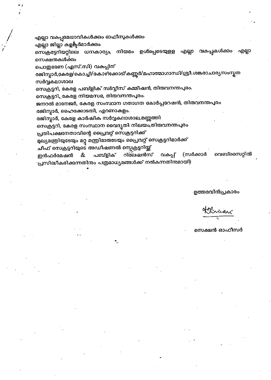എല്ലാ വകപ്പുമേധാവികൾക്കും ഓഫീസുകൾക്കും

എല്ലാ ജില്ലാ കളക്ട്ടർമാർക്കും

സെക്രട്ടേറിയറ്റിലെ ധനകാര്യം നിയമം ഉൾപ്പെടെയുളള എല്ലാ വകപ്പകൾക്കാ എല്ലാ സെക്ഷന്തകൾക്കം

പൊതുഭരണ (എസ്.സി) വകപ്പിന്

രജിസ്ലാർ,കേരള/കൊച്ചി/കോഴിക്കോട്/കണ്ണൂർ/മഹാത്മാഗാന്ധി/ശ്രീ.ശങ്കരാചാര്യസംസ്കൃത സർവ്വകലാശാല

സെക്രട്ടറി, കേരള പബ്ളിക് സർവ്വീസ് കമ്മീഷൻ, തിരുവനന്തപുരം.

സെക്രട്ടറി, കേരള നിയമസഭ, തിരുവനന്തപുരം.

ജനറൽ മാനേജർ, കേരള സംസ്ഥാന ഗതാഗത കോർപ്പറേഷൻ, തിതവനന്തപുരം

രജിസ്ലാർ, ഹൈക്കോടതി, എറണാകളം.

രജിസ്കാർ, കേരള കാർഷിക സർവ്വകലാശാല,മണ്ണത്തി

സെക്രട്ടറി, കേരള സംസ്ഥാന വൈദൃതി നിലയം,തിരുവനന്തപുരം

പ്രതിപക്ഷനേതാവിന്റെ പ്രൈവറ്റ് സെക്രട്ടറിക്ക്

മുഖ്യമന്ത്രിയുടേയും മറ്റു മന്ത്രിമാരുടേയും പ്രൈവറ്റ് സെക്രട്ടറിമാർക്ക്

ചീഫ് സെക്രട്ടറിയുടെ അഡീഷണൽ സ്പെക്രട്ടറിയ്ക്

(സർക്കാർ റിലേഷൻസ് വകപ്പ് വെബ്സൈറ്റിൽ ഇൻഫർമേഷൻ & പബ്ളിക് ്പ്രസിദ്ധീകരിക്കുന്നതിനും പത്രമാധ്യമങ്ങൾക്ക് നൽകന്നതിനമായി)

.ഉത്തരവിൻപ്രകാര<u>ം</u>

viran

സെക്ഷൻ ഓഫീസർ